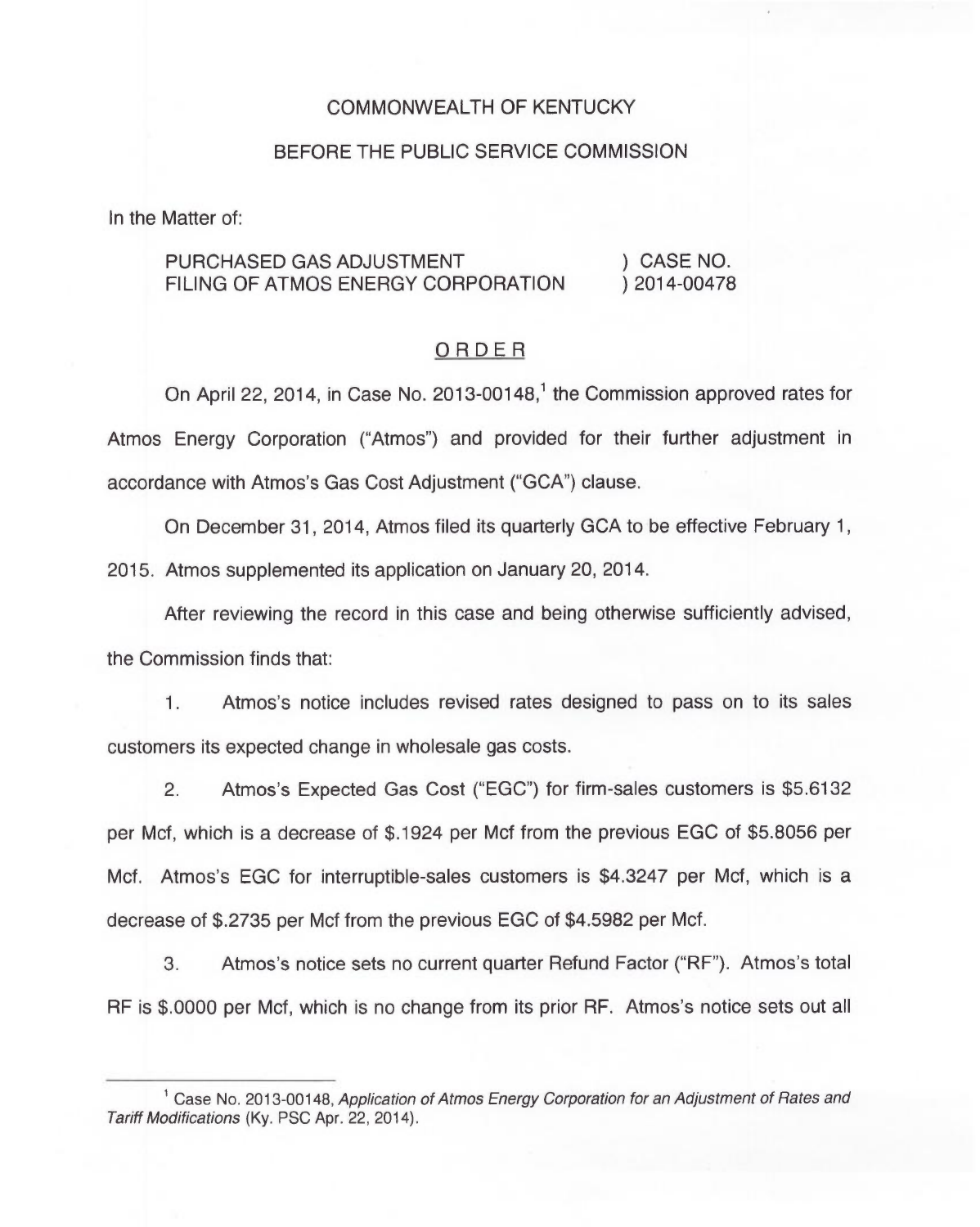# COMMONWEALTH OF KENTUCKY

### BEFORE THE PUBLIC SERVICE COMMISSION

In the Matter of:

#### PURCHASED GAS ADJUSTMENT FILING OF ATMOS ENERGY CORPORATION ) CASE NO. ) 2014-00478

# ORDER

On April 22, 2014, in Case No. 2013-00148,<sup>1</sup> the Commission approved rates for Atmos Energy Corporation ("Atmos") and provided for their further adjustment in accordance with Atmos's Gas Cost Adjustment ("GCA") clause.

On December 31, 2014, Atmos filed its quarterly GCA to be effective February 1,

2015. Atmos supplemented its application on January 20, 2014.

After reviewing the record in this case and being otherwise sufficiently advised, the Commission finds that:

 $1.$ Atmos's notice includes revised rates designed to pass on to its sales customers its expected change in wholesale gas costs.

2. Atmos's Expected Gas Cost ("EGC") for firm-sales customers is \$5.6132 per Mcf, which is a decrease of \$.1924 per Mcf from the previous EGC of \$5.8056 per Mcf. Atmos's EGC for interruptible-sales customers is \$4.3247 per Mcf, which is a decrease of \$.2735 per Mcf from the previous EGC of \$4.5982 per Mcf.

3. Atmos's notice sets no current quarter Refund Factor ("RF"). Atmos's total RF is \$.0000 per Mcf, which is no change from its prior RF. Atmos's notice sets out all

<sup>&</sup>lt;sup>1</sup> Case No. 2013-00148, Application of Atmos Energy Corporation for an Adjustment of Rates and Tariff Modifications (Ky. PSC Apr. 22, 2014).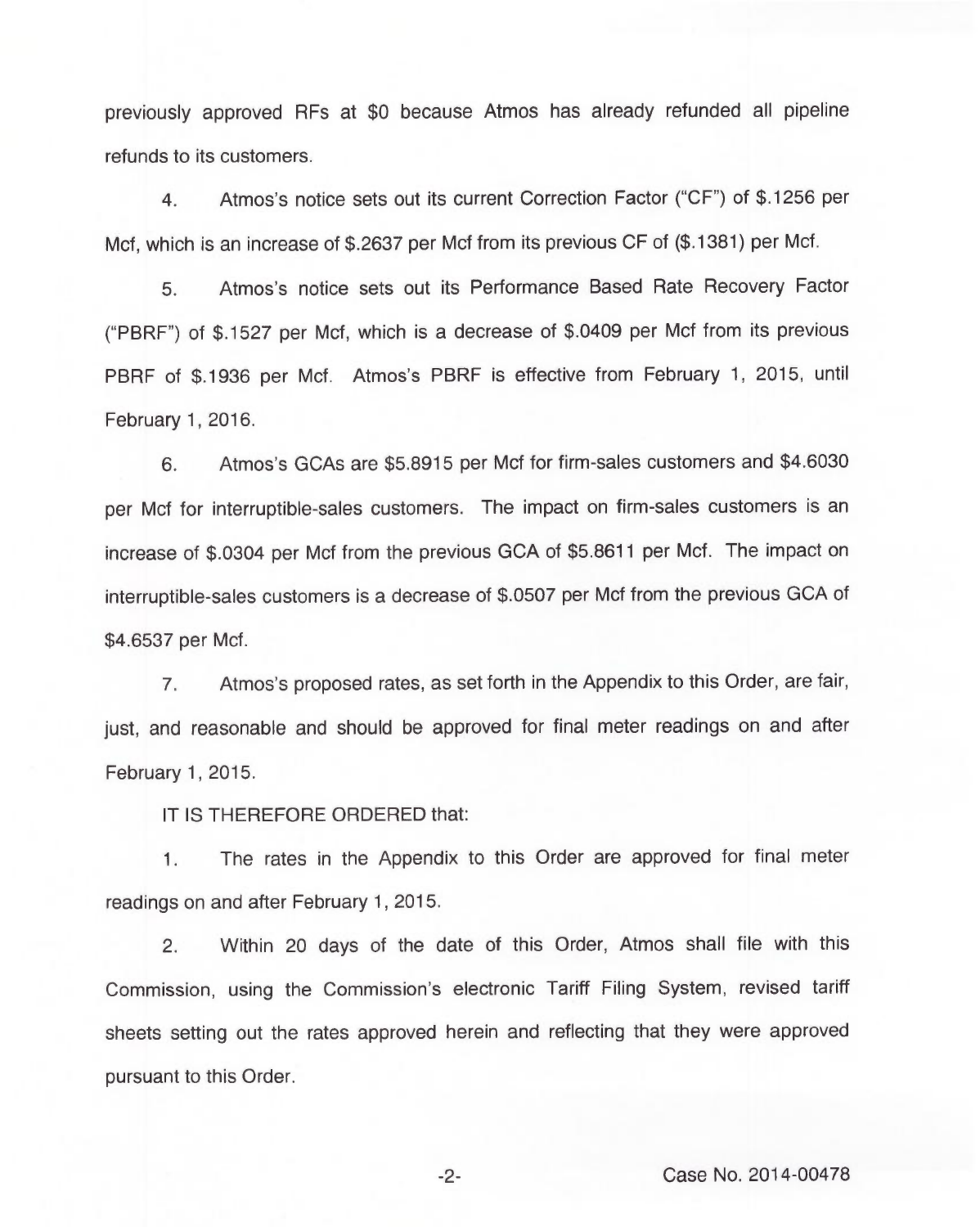previously approved RFs at \$0 because Atmos has already refunded all pipeline refunds to its customers.

4. Atmos's notice sets out its current Correction Factor ("CF") of \$.1256 per Mcf, which is an increase of \$.2637 per Mcf from its previous CF of (\$.1381) per Mcf.

5. Atmos's notice sets out its Performance Based Rate Recovery Factor ("PBRF") of \$.1527 per Mcf, which is a decrease of \$.0409 per Mcf from its previous PBRF of \$.1936 per Mcf. Atmos's PBRF is effective from February 1, 2015, until February 1, 2016.

6. Atmos's GCAs are \$5.8915 per Mcf for firm-sales customers and \$4.6030 per Mcf for interruptible-sales customers. The impact on firm-sales customers is an increase of \$.0304 per Mcf from the previous GCA of \$5.8611 per Mcf. The impact on interruptible-sales customers is a decrease of \$.0507 per Mcf from the previous GCA of \$4.6537 per Mcf.

7. Atmos's proposed rates, as set forth in the Appendix to this Order, are fair, just, and reasonable and should be approved for final meter readings on and after February 1, 2015.

IT IS THEREFORE ORDERED that:

1. The rates in the Appendix to this Order are approved for final meter readings on and after February 1, 2015.

2. Within 20 days of the date of this Order, Atmos shall file with this Commission, using the Commission's electronic Tariff Filing System, revised tariff sheets setting out the rates approved herein and reflecting that they were approved pursuant to this Order.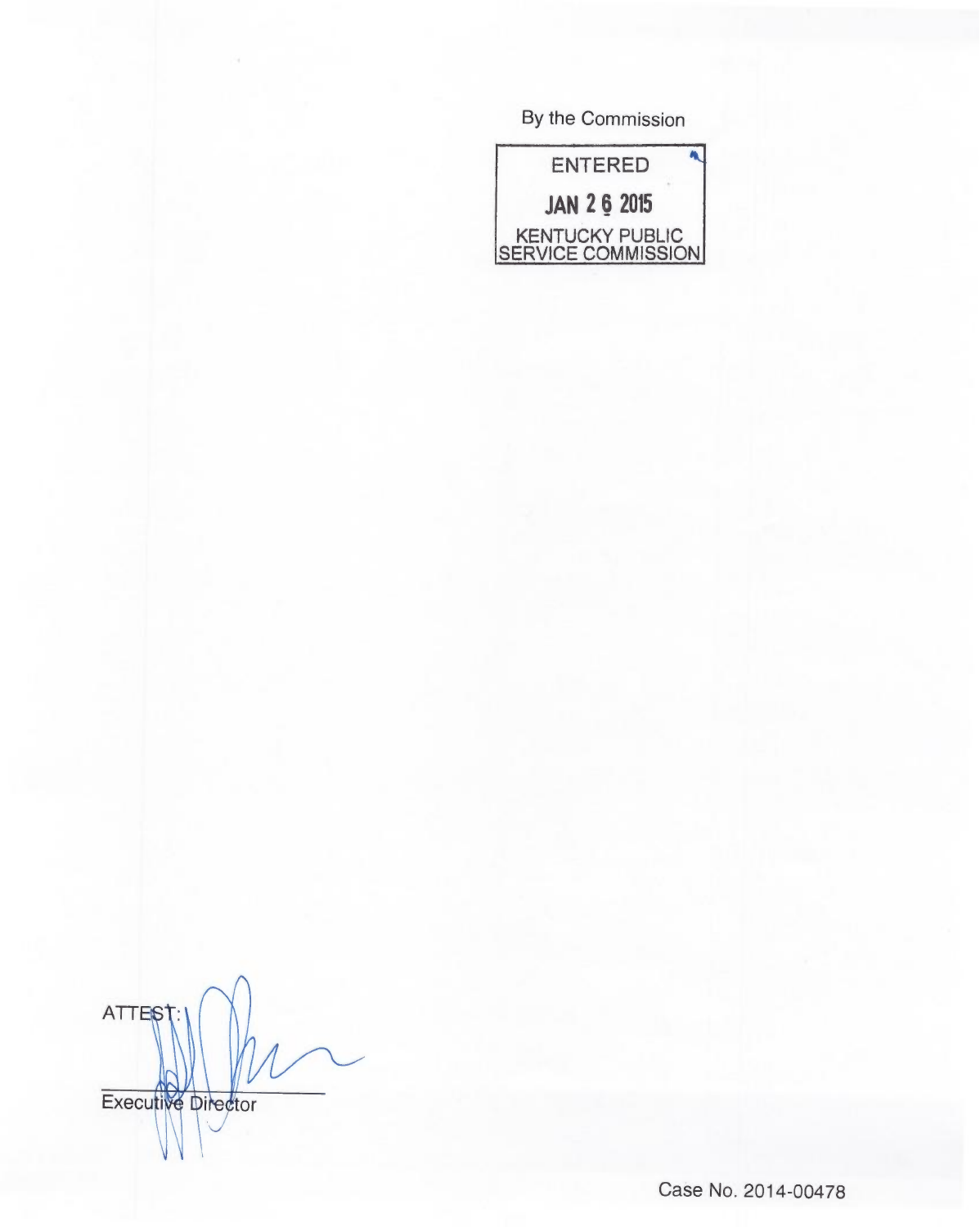By the Commission



**ATTES Executive Director** 

Case No. 2014-00478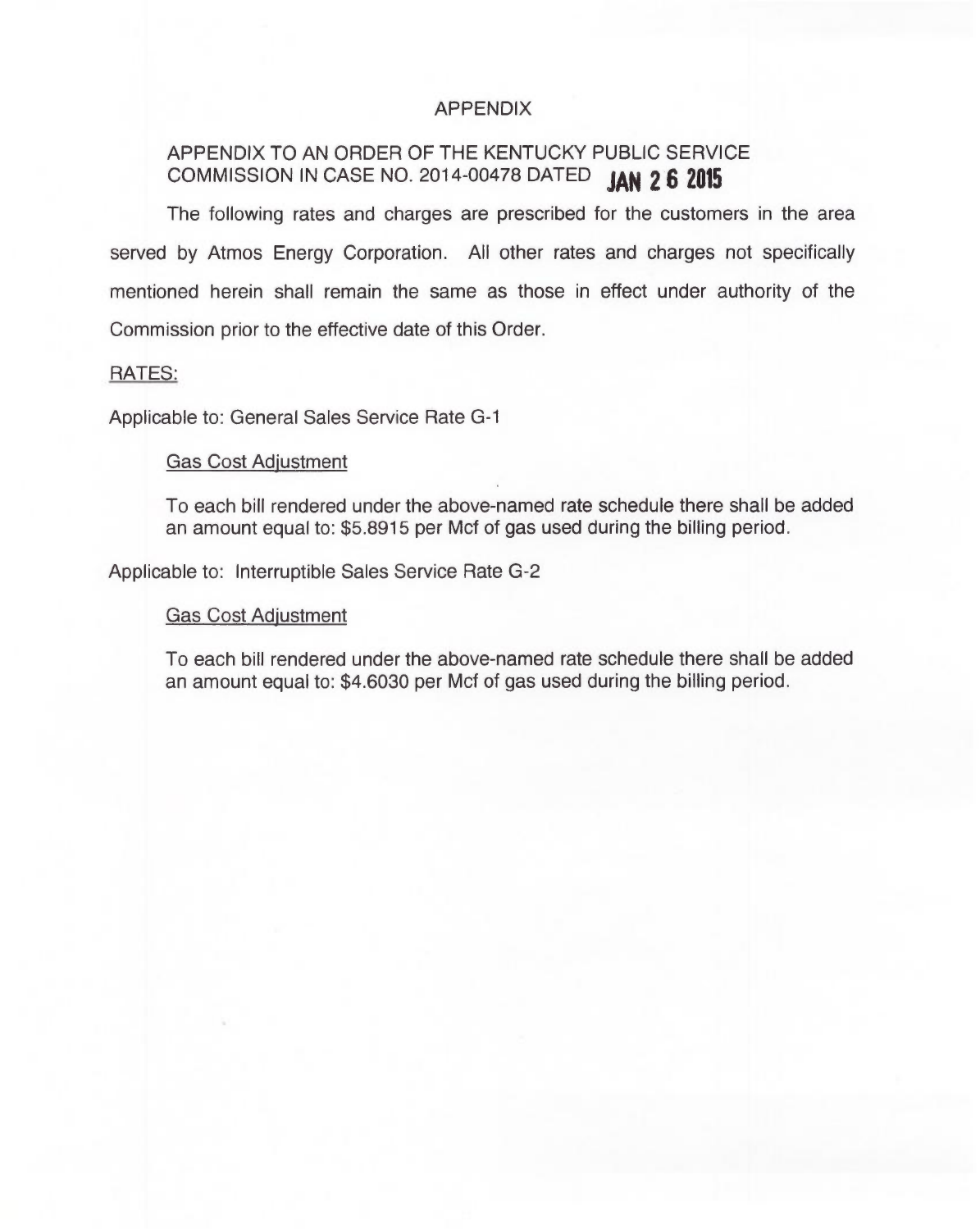# APPENDIX

# APPENDIX TO AN ORDER OF THE KENTUCKY PUBLIC SERVICE COMMISSION IN CASE NO. 2014-00478 DATED JAN 2 6 2015

The following rates and charges are prescribed for the customers in the area served by Atmos Energy Corporation. All other rates and charges not specifically mentioned herein shall remain the same as those in effect under authority of the Commission prior to the effective date of this Order.

#### RATES:

Applicable to: General Sales Service Rate G-1

#### **Gas Cost Adjustment**

To each bill rendered under the above-named rate schedule there shall be added an amount equal to: \$5.8915 per Mcf of gas used during the billing period.

Applicable to: Interruptible Sales Service Rate G-2

#### **Gas Cost Adjustment**

To each bill rendered under the above-named rate schedule there shall be added an amount equal to: \$4.6030 per Mcf of gas used during the billing period.